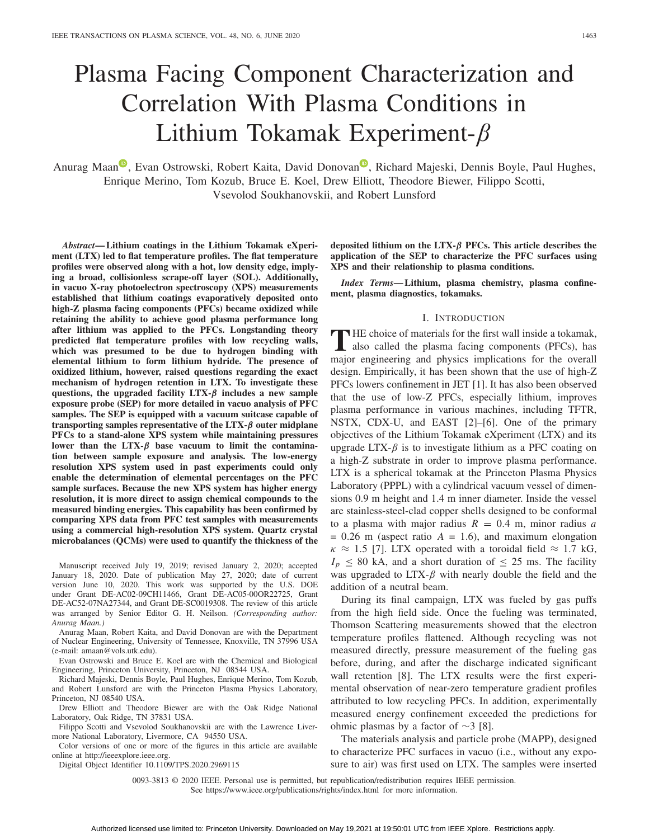# Plasma Facing Component Characterization and Correlation With Plasma Conditions in Lithium Tokamak Experiment-β

A[n](https://orcid.org/0000-0001-8615-6812)urag Maan<sup>to</sup>, Evan Ostrowski, Robert Kaita, David Donovan<sup>to</sup>, Richard Majeski, Dennis Boyle, Paul Hughes, Enrique Merino, Tom Kozub, Bruce E. Koel, Drew Elliott, Theodore Biewer, Filippo Scotti, Vsevolod Soukhanovskii, and Robert Lunsford

*Abstract***— Lithium coatings in the Lithium Tokamak eXperiment (LTX) led to flat temperature profiles. The flat temperature profiles were observed along with a hot, low density edge, implying a broad, collisionless scrape-off layer (SOL). Additionally, in vacuo X-ray photoelectron spectroscopy (XPS) measurements established that lithium coatings evaporatively deposited onto high-Z plasma facing components (PFCs) became oxidized while retaining the ability to achieve good plasma performance long after lithium was applied to the PFCs. Longstanding theory predicted flat temperature profiles with low recycling walls, which was presumed to be due to hydrogen binding with elemental lithium to form lithium hydride. The presence of oxidized lithium, however, raised questions regarding the exact mechanism of hydrogen retention in LTX. To investigate these questions, the upgraded facility LTX-***β* **includes a new sample exposure probe (SEP) for more detailed in vacuo analysis of PFC samples. The SEP is equipped with a vacuum suitcase capable of transporting samples representative of the LTX-***β* **outer midplane PFCs to a stand-alone XPS system while maintaining pressures lower than the LTX-***β* **base vacuum to limit the contamination between sample exposure and analysis. The low-energy resolution XPS system used in past experiments could only enable the determination of elemental percentages on the PFC sample surfaces. Because the new XPS system has higher energy resolution, it is more direct to assign chemical compounds to the measured binding energies. This capability has been confirmed by comparing XPS data from PFC test samples with measurements using a commercial high-resolution XPS system. Quartz crystal microbalances (QCMs) were used to quantify the thickness of the**

Manuscript received July 19, 2019; revised January 2, 2020; accepted January 18, 2020. Date of publication May 27, 2020; date of current version June 10, 2020. This work was supported by the U.S. DOE under Grant DE-AC02-09CH11466, Grant DE-AC05-00OR22725, Grant DE-AC52-07NA27344, and Grant DE-SC0019308. The review of this article was arranged by Senior Editor G. H. Neilson. *(Corresponding author: Anurag Maan.)*

Anurag Maan, Robert Kaita, and David Donovan are with the Department of Nuclear Engineering, University of Tennessee, Knoxville, TN 37996 USA (e-mail: amaan@vols.utk.edu).

Evan Ostrowski and Bruce E. Koel are with the Chemical and Biological Engineering, Princeton University, Princeton, NJ 08544 USA.

Richard Majeski, Dennis Boyle, Paul Hughes, Enrique Merino, Tom Kozub, and Robert Lunsford are with the Princeton Plasma Physics Laboratory, Princeton, NJ 08540 USA.

Drew Elliott and Theodore Biewer are with the Oak Ridge National Laboratory, Oak Ridge, TN 37831 USA.

Filippo Scotti and Vsevolod Soukhanovskii are with the Lawrence Livermore National Laboratory, Livermore, CA 94550 USA.

Color versions of one or more of the figures in this article are available online at http://ieeexplore.ieee.org.

Digital Object Identifier 10.1109/TPS.2020.2969115

**deposited lithium on the LTX-***β* **PFCs. This article describes the application of the SEP to characterize the PFC surfaces using XPS and their relationship to plasma conditions.**

*Index Terms***— Lithium, plasma chemistry, plasma confinement, plasma diagnostics, tokamaks.**

#### I. INTRODUCTION

**THE** choice of materials for the first wall inside a tokamak, also called the plasma facing components (PFCs), has major engineering and physics implications for the overall design. Empirically, it has been shown that the use of high-Z PFCs lowers confinement in JET [1]. It has also been observed that the use of low-Z PFCs, especially lithium, improves plasma performance in various machines, including TFTR, NSTX, CDX-U, and EAST [2]–[6]. One of the primary objectives of the Lithium Tokamak eXperiment (LTX) and its upgrade LTX- $\beta$  is to investigate lithium as a PFC coating on a high-Z substrate in order to improve plasma performance. LTX is a spherical tokamak at the Princeton Plasma Physics Laboratory (PPPL) with a cylindrical vacuum vessel of dimensions 0.9 m height and 1.4 m inner diameter. Inside the vessel are stainless-steel-clad copper shells designed to be conformal to a plasma with major radius  $R = 0.4$  m, minor radius *a*  $= 0.26$  m (aspect ratio  $A = 1.6$ ), and maximum elongation  $\kappa \approx 1.5$  [7]. LTX operated with a toroidal field  $\approx 1.7$  kG,  $I_p \leq 80$  kA, and a short duration of  $\leq 25$  ms. The facility was upgraded to  $LTX-\beta$  with nearly double the field and the addition of a neutral beam.

During its final campaign, LTX was fueled by gas puffs from the high field side. Once the fueling was terminated, Thomson Scattering measurements showed that the electron temperature profiles flattened. Although recycling was not measured directly, pressure measurement of the fueling gas before, during, and after the discharge indicated significant wall retention [8]. The LTX results were the first experimental observation of near-zero temperature gradient profiles attributed to low recycling PFCs. In addition, experimentally measured energy confinement exceeded the predictions for ohmic plasmas by a factor of ∼3 [8].

The materials analysis and particle probe (MAPP), designed to characterize PFC surfaces in vacuo (i.e., without any exposure to air) was first used on LTX. The samples were inserted

0093-3813 © 2020 IEEE. Personal use is permitted, but republication/redistribution requires IEEE permission. See https://www.ieee.org/publications/rights/index.html for more information.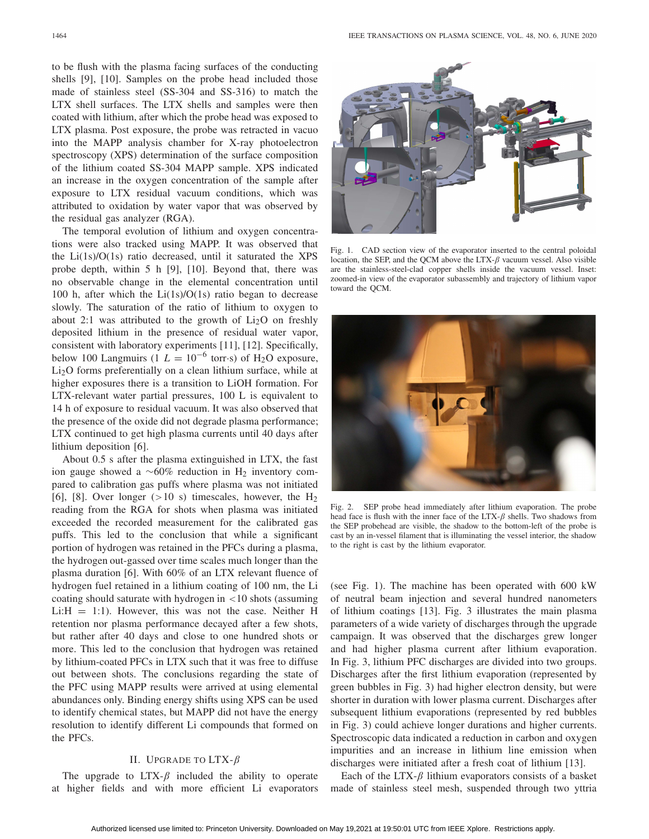to be flush with the plasma facing surfaces of the conducting shells [9], [10]. Samples on the probe head included those made of stainless steel (SS-304 and SS-316) to match the LTX shell surfaces. The LTX shells and samples were then coated with lithium, after which the probe head was exposed to LTX plasma. Post exposure, the probe was retracted in vacuo into the MAPP analysis chamber for X-ray photoelectron spectroscopy (XPS) determination of the surface composition of the lithium coated SS-304 MAPP sample. XPS indicated an increase in the oxygen concentration of the sample after exposure to LTX residual vacuum conditions, which was attributed to oxidation by water vapor that was observed by the residual gas analyzer (RGA).

The temporal evolution of lithium and oxygen concentrations were also tracked using MAPP. It was observed that the Li(1s)/O(1s) ratio decreased, until it saturated the XPS probe depth, within 5 h [9], [10]. Beyond that, there was no observable change in the elemental concentration until 100 h, after which the  $Li(1s)/O(1s)$  ratio began to decrease slowly. The saturation of the ratio of lithium to oxygen to about 2:1 was attributed to the growth of  $Li<sub>2</sub>O$  on freshly deposited lithium in the presence of residual water vapor, consistent with laboratory experiments [11], [12]. Specifically, below 100 Langmuirs (1  $L = 10^{-6}$  torr⋅s) of H<sub>2</sub>O exposure, Li2O forms preferentially on a clean lithium surface, while at higher exposures there is a transition to LiOH formation. For LTX-relevant water partial pressures, 100 L is equivalent to 14 h of exposure to residual vacuum. It was also observed that the presence of the oxide did not degrade plasma performance; LTX continued to get high plasma currents until 40 days after lithium deposition [6].

About 0.5 s after the plasma extinguished in LTX, the fast ion gauge showed a  $~\sim 60\%$  reduction in H<sub>2</sub> inventory compared to calibration gas puffs where plasma was not initiated [6], [8]. Over longer  $(>10 \text{ s})$  timescales, however, the H<sub>2</sub> reading from the RGA for shots when plasma was initiated exceeded the recorded measurement for the calibrated gas puffs. This led to the conclusion that while a significant portion of hydrogen was retained in the PFCs during a plasma, the hydrogen out-gassed over time scales much longer than the plasma duration [6]. With 60% of an LTX relevant fluence of hydrogen fuel retained in a lithium coating of 100 nm, the Li coating should saturate with hydrogen in <10 shots (assuming Li: $H = 1:1$ ). However, this was not the case. Neither H retention nor plasma performance decayed after a few shots, but rather after 40 days and close to one hundred shots or more. This led to the conclusion that hydrogen was retained by lithium-coated PFCs in LTX such that it was free to diffuse out between shots. The conclusions regarding the state of the PFC using MAPP results were arrived at using elemental abundances only. Binding energy shifts using XPS can be used to identify chemical states, but MAPP did not have the energy resolution to identify different Li compounds that formed on the PFCs.

## II. UPGRADE TO  $LTX-\beta$

The upgrade to LTX- $\beta$  included the ability to operate at higher fields and with more efficient Li evaporators



Fig. 1. CAD section view of the evaporator inserted to the central poloidal location, the SEP, and the QCM above the LTX- $\beta$  vacuum vessel. Also visible are the stainless-steel-clad copper shells inside the vacuum vessel. Inset: zoomed-in view of the evaporator subassembly and trajectory of lithium vapor toward the QCM.



Fig. 2. SEP probe head immediately after lithium evaporation. The probe head face is flush with the inner face of the LTX- $\beta$  shells. Two shadows from the SEP probehead are visible, the shadow to the bottom-left of the probe is cast by an in-vessel filament that is illuminating the vessel interior, the shadow to the right is cast by the lithium evaporator.

(see Fig. 1). The machine has been operated with 600 kW of neutral beam injection and several hundred nanometers of lithium coatings [13]. Fig. 3 illustrates the main plasma parameters of a wide variety of discharges through the upgrade campaign. It was observed that the discharges grew longer and had higher plasma current after lithium evaporation. In Fig. 3, lithium PFC discharges are divided into two groups. Discharges after the first lithium evaporation (represented by green bubbles in Fig. 3) had higher electron density, but were shorter in duration with lower plasma current. Discharges after subsequent lithium evaporations (represented by red bubbles in Fig. 3) could achieve longer durations and higher currents. Spectroscopic data indicated a reduction in carbon and oxygen impurities and an increase in lithium line emission when discharges were initiated after a fresh coat of lithium [13].

Each of the LTX- $\beta$  lithium evaporators consists of a basket made of stainless steel mesh, suspended through two yttria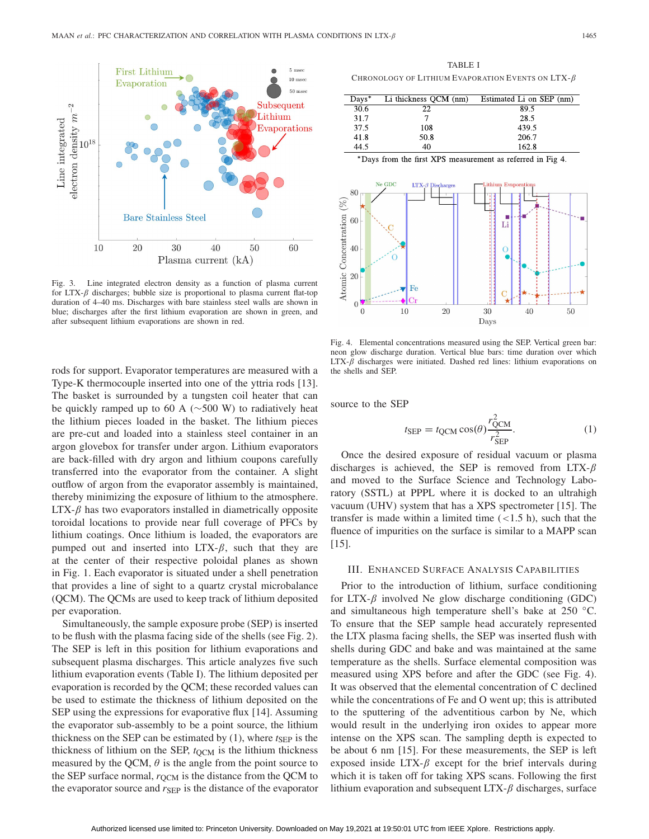

Fig. 3. Line integrated electron density as a function of plasma current for LTX- $\beta$  discharges; bubble size is proportional to plasma current flat-top duration of 4–40 ms. Discharges with bare stainless steel walls are shown in blue; discharges after the first lithium evaporation are shown in green, and after subsequent lithium evaporations are shown in red.

rods for support. Evaporator temperatures are measured with a Type-K thermocouple inserted into one of the yttria rods [13]. The basket is surrounded by a tungsten coil heater that can be quickly ramped up to 60 A (∼500 W) to radiatively heat the lithium pieces loaded in the basket. The lithium pieces are pre-cut and loaded into a stainless steel container in an argon glovebox for transfer under argon. Lithium evaporators are back-filled with dry argon and lithium coupons carefully transferred into the evaporator from the container. A slight outflow of argon from the evaporator assembly is maintained, thereby minimizing the exposure of lithium to the atmosphere. LTX- $β$  has two evaporators installed in diametrically opposite toroidal locations to provide near full coverage of PFCs by lithium coatings. Once lithium is loaded, the evaporators are pumped out and inserted into  $LTX-\beta$ , such that they are at the center of their respective poloidal planes as shown in Fig. 1. Each evaporator is situated under a shell penetration that provides a line of sight to a quartz crystal microbalance (QCM). The QCMs are used to keep track of lithium deposited per evaporation.

Simultaneously, the sample exposure probe (SEP) is inserted to be flush with the plasma facing side of the shells (see Fig. 2). The SEP is left in this position for lithium evaporations and subsequent plasma discharges. This article analyzes five such lithium evaporation events (Table I). The lithium deposited per evaporation is recorded by the QCM; these recorded values can be used to estimate the thickness of lithium deposited on the SEP using the expressions for evaporative flux [14]. Assuming the evaporator sub-assembly to be a point source, the lithium thickness on the SEP can be estimated by  $(1)$ , where  $t_{\text{SEP}}$  is the thickness of lithium on the SEP,  $t_{\text{QCM}}$  is the lithium thickness measured by the QCM,  $\theta$  is the angle from the point source to the SEP surface normal,  $r_{\text{OCM}}$  is the distance from the QCM to the evaporator source and  $r_{\rm SEP}$  is the distance of the evaporator

TABLE I CHRONOLOGY OF LITHIUM EVAPORATION EVENTS ON LTX- $\beta$ 

| $Days^*$ | Li thickness QCM (nm) | Estimated Li on SEP (nm) |
|----------|-----------------------|--------------------------|
| 30.6     | 22                    | 89.5                     |
| 31.7     |                       | 28.5                     |
| 37.5     | 108                   | 439.5                    |
| 41.8     | 50.8                  | 206.7                    |
| 44.5     | 40                    | 162.8                    |

\*Days from the first XPS measurement as referred in Fig 4.



Fig. 4. Elemental concentrations measured using the SEP. Vertical green bar: neon glow discharge duration. Vertical blue bars: time duration over which LTX- $β$  discharges were initiated. Dashed red lines: lithium evaporations on the shells and SEP.

source to the SEP

$$
t_{\rm SEP} = t_{\rm QCM} \cos(\theta) \frac{r_{\rm QCM}^2}{r_{\rm SEP}^2}.
$$
 (1)

Once the desired exposure of residual vacuum or plasma discharges is achieved, the SEP is removed from LTX- $\beta$ and moved to the Surface Science and Technology Laboratory (SSTL) at PPPL where it is docked to an ultrahigh vacuum (UHV) system that has a XPS spectrometer [15]. The transfer is made within a limited time  $(<1.5$  h), such that the fluence of impurities on the surface is similar to a MAPP scan [15].

#### III. ENHANCED SURFACE ANALYSIS CAPABILITIES

Prior to the introduction of lithium, surface conditioning for LTX- $\beta$  involved Ne glow discharge conditioning (GDC) and simultaneous high temperature shell's bake at 250 ◦C. To ensure that the SEP sample head accurately represented the LTX plasma facing shells, the SEP was inserted flush with shells during GDC and bake and was maintained at the same temperature as the shells. Surface elemental composition was measured using XPS before and after the GDC (see Fig. 4). It was observed that the elemental concentration of C declined while the concentrations of Fe and O went up; this is attributed to the sputtering of the adventitious carbon by Ne, which would result in the underlying iron oxides to appear more intense on the XPS scan. The sampling depth is expected to be about 6 nm [15]. For these measurements, the SEP is left exposed inside LTX- $\beta$  except for the brief intervals during which it is taken off for taking XPS scans. Following the first lithium evaporation and subsequent  $LTX-\beta$  discharges, surface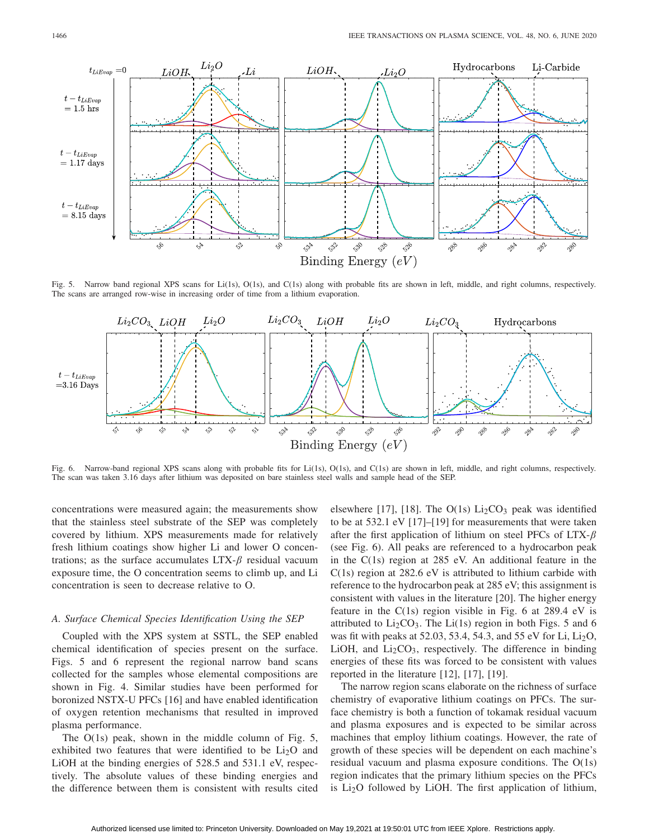

Fig. 5. Narrow band regional XPS scans for Li(1s), O(1s), and C(1s) along with probable fits are shown in left, middle, and right columns, respectively. The scans are arranged row-wise in increasing order of time from a lithium evaporation.



Fig. 6. Narrow-band regional XPS scans along with probable fits for Li(1s), O(1s), and C(1s) are shown in left, middle, and right columns, respectively. The scan was taken 3.16 days after lithium was deposited on bare stainless steel walls and sample head of the SEP.

concentrations were measured again; the measurements show that the stainless steel substrate of the SEP was completely covered by lithium. XPS measurements made for relatively fresh lithium coatings show higher Li and lower O concentrations; as the surface accumulates  $LTX-\beta$  residual vacuum exposure time, the O concentration seems to climb up, and Li concentration is seen to decrease relative to O.

### *A. Surface Chemical Species Identification Using the SEP*

Coupled with the XPS system at SSTL, the SEP enabled chemical identification of species present on the surface. Figs. 5 and 6 represent the regional narrow band scans collected for the samples whose elemental compositions are shown in Fig. 4. Similar studies have been performed for boronized NSTX-U PFCs [16] and have enabled identification of oxygen retention mechanisms that resulted in improved plasma performance.

The O(1s) peak, shown in the middle column of Fig. 5, exhibited two features that were identified to be  $Li<sub>2</sub>O$  and LiOH at the binding energies of 528.5 and 531.1 eV, respectively. The absolute values of these binding energies and the difference between them is consistent with results cited elsewhere [17], [18]. The  $O(1s)$  Li<sub>2</sub>CO<sub>3</sub> peak was identified to be at 532.1 eV [17]–[19] for measurements that were taken after the first application of lithium on steel PFCs of LTX- $\beta$ (see Fig. 6). All peaks are referenced to a hydrocarbon peak in the C(1s) region at 285 eV. An additional feature in the C(1s) region at 282.6 eV is attributed to lithium carbide with reference to the hydrocarbon peak at 285 eV; this assignment is consistent with values in the literature [20]. The higher energy feature in the  $C(1s)$  region visible in Fig. 6 at 289.4 eV is attributed to  $Li<sub>2</sub>CO<sub>3</sub>$ . The  $Li(1s)$  region in both Figs. 5 and 6 was fit with peaks at 52.03, 53.4, 54.3, and 55 eV for Li,  $Li<sub>2</sub>O$ , LiOH, and  $Li<sub>2</sub>CO<sub>3</sub>$ , respectively. The difference in binding energies of these fits was forced to be consistent with values reported in the literature [12], [17], [19].

The narrow region scans elaborate on the richness of surface chemistry of evaporative lithium coatings on PFCs. The surface chemistry is both a function of tokamak residual vacuum and plasma exposures and is expected to be similar across machines that employ lithium coatings. However, the rate of growth of these species will be dependent on each machine's residual vacuum and plasma exposure conditions. The O(1s) region indicates that the primary lithium species on the PFCs is  $Li<sub>2</sub>O$  followed by LiOH. The first application of lithium,